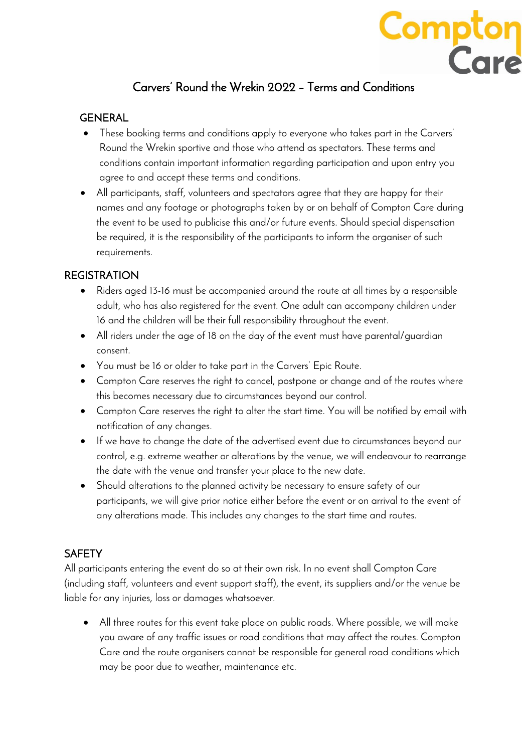## Carvers' Round the Wrekin 2022 – Terms and Conditions

**Compton**<br>Care

## GENERAL

- These booking terms and conditions apply to everyone who takes part in the Carvers' Round the Wrekin sportive and those who attend as spectators. These terms and conditions contain important information regarding participation and upon entry you agree to and accept these terms and conditions.
- All participants, staff, volunteers and spectators agree that they are happy for their names and any footage or photographs taken by or on behalf of Compton Care during the event to be used to publicise this and/or future events. Should special dispensation be required, it is the responsibility of the participants to inform the organiser of such requirements.

## **REGISTRATION**

- Riders aged 13-16 must be accompanied around the route at all times by a responsible adult, who has also registered for the event. One adult can accompany children under 16 and the children will be their full responsibility throughout the event.
- All riders under the age of 18 on the day of the event must have parental/guardian consent.
- You must be 16 or older to take part in the Carvers' Epic Route.
- Compton Care reserves the right to cancel, postpone or change and of the routes where this becomes necessary due to circumstances beyond our control.
- Compton Care reserves the right to alter the start time. You will be notified by email with notification of any changes.
- If we have to change the date of the advertised event due to circumstances beyond our control, e.g. extreme weather or alterations by the venue, we will endeavour to rearrange the date with the venue and transfer your place to the new date.
- Should alterations to the planned activity be necessary to ensure safety of our participants, we will give prior notice either before the event or on arrival to the event of any alterations made. This includes any changes to the start time and routes.

## **SAFFTY**

All participants entering the event do so at their own risk. In no event shall Compton Care (including staff, volunteers and event support staff), the event, its suppliers and/or the venue be liable for any injuries, loss or damages whatsoever.

• All three routes for this event take place on public roads. Where possible, we will make you aware of any traffic issues or road conditions that may affect the routes. Compton Care and the route organisers cannot be responsible for general road conditions which may be poor due to weather, maintenance etc.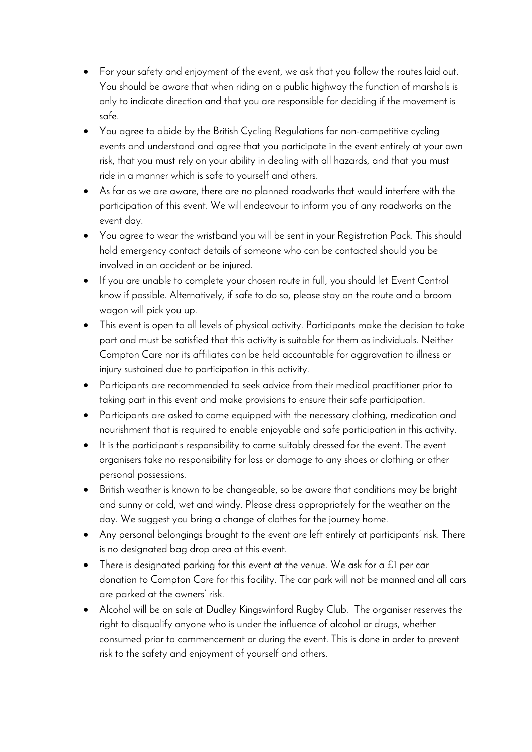- For your safety and enjoyment of the event, we ask that you follow the routes laid out. You should be aware that when riding on a public highway the function of marshals is only to indicate direction and that you are responsible for deciding if the movement is safe.
- You agree to abide by the British Cycling Regulations for non-competitive cycling events and understand and agree that you participate in the event entirely at your own risk, that you must rely on your ability in dealing with all hazards, and that you must ride in a manner which is safe to yourself and others.
- As far as we are aware, there are no planned roadworks that would interfere with the participation of this event. We will endeavour to inform you of any roadworks on the event day.
- You agree to wear the wristband you will be sent in your Registration Pack. This should hold emergency contact details of someone who can be contacted should you be involved in an accident or be injured.
- If you are unable to complete your chosen route in full, you should let Event Control know if possible. Alternatively, if safe to do so, please stay on the route and a broom wagon will pick you up.
- This event is open to all levels of physical activity. Participants make the decision to take part and must be satisfied that this activity is suitable for them as individuals. Neither Compton Care nor its affiliates can be held accountable for aggravation to illness or injury sustained due to participation in this activity.
- Participants are recommended to seek advice from their medical practitioner prior to taking part in this event and make provisions to ensure their safe participation.
- Participants are asked to come equipped with the necessary clothing, medication and nourishment that is required to enable enjoyable and safe participation in this activity.
- It is the participant's responsibility to come suitably dressed for the event. The event organisers take no responsibility for loss or damage to any shoes or clothing or other personal possessions.
- British weather is known to be changeable, so be aware that conditions may be bright and sunny or cold, wet and windy. Please dress appropriately for the weather on the day. We suggest you bring a change of clothes for the journey home.
- Any personal belongings brought to the event are left entirely at participants' risk. There is no designated bag drop area at this event.
- There is designated parking for this event at the venue. We ask for a £1 per car donation to Compton Care for this facility. The car park will not be manned and all cars are parked at the owners' risk.
- Alcohol will be on sale at Dudley Kingswinford Rugby Club. The organiser reserves the right to disqualify anyone who is under the influence of alcohol or drugs, whether consumed prior to commencement or during the event. This is done in order to prevent risk to the safety and enjoyment of yourself and others.